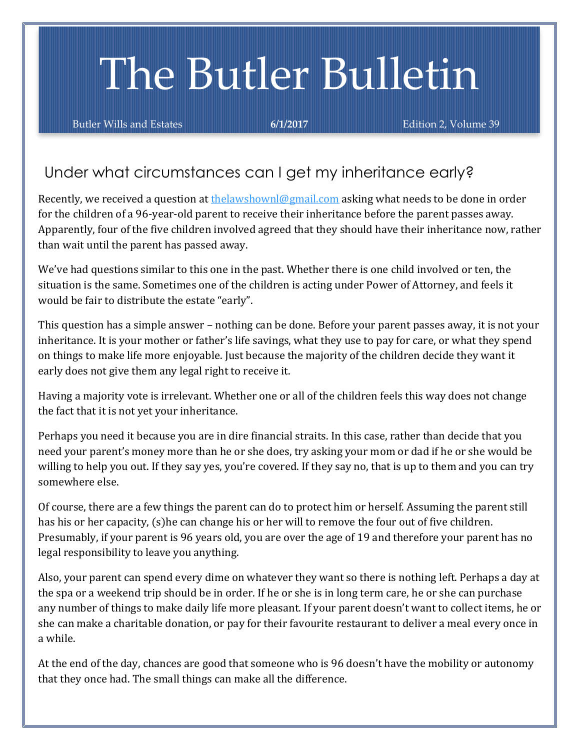# The Butler Bulletin

Butler Wills and Estates **6/1/2017 Edition 2, Volume 39** 

## Under what circumstances can I get my inheritance early?

for the children of a 96-year-old parent to receive their inheritance before the parent passes away. Apparently, four of the five children involved agreed that they should have their inheritance now, rather Recently, we received a question a[t thelawshownl@gmail.com](mailto:thelawshownl@gmail.com) asking what needs to be done in order than wait until the parent has passed away.

We've had questions similar to this one in the past. Whether there is one child involved or ten, the situation is the same. Sometimes one of the children is acting under Power of Attorney, and feels it would be fair to distribute the estate "early".

This question has a simple answer – nothing can be done. Before your parent passes away, it is not your inheritance. It is your mother or father's life savings, what they use to pay for care, or what they spend on things to make life more enjoyable. Just because the majority of the children decide they want it early does not give them any legal right to receive it.

Having a majority vote is irrelevant. Whether one or all of the children feels this way does not change the fact that it is not yet your inheritance.

Perhaps you need it because you are in dire financial straits. In this case, rather than decide that you need your parent's money more than he or she does, try asking your mom or dad if he or she would be willing to help you out. If they say yes, you're covered. If they say no, that is up to them and you can try somewhere else.

Of course, there are a few things the parent can do to protect him or herself. Assuming the parent still has his or her capacity, (s)he can change his or her will to remove the four out of five children. Presumably, if your parent is 96 years old, you are over the age of 19 and therefore your parent has no legal responsibility to leave you anything.

Also, your parent can spend every dime on whatever they want so there is nothing left. Perhaps a day at the spa or a weekend trip should be in order. If he or she is in long term care, he or she can purchase any number of things to make daily life more pleasant. If your parent doesn't want to collect items, he or she can make a charitable donation, or pay for their favourite restaurant to deliver a meal every once in a while.

At the end of the day, chances are good that someone who is 96 doesn't have the mobility or autonomy that they once had. The small things can make all the difference.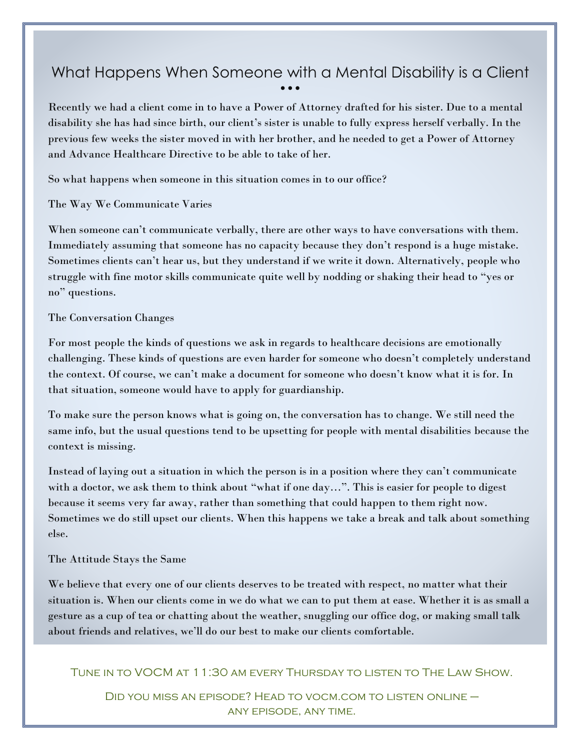#### What Happens When Someone with a Mental Disability is a Client • • •

Recently we had a client come in to have a Power of Attorney drafted for his sister. Due to a mental disability she has had since birth, our client's sister is unable to fully express herself verbally. In the previous few weeks the sister moved in with her brother, and he needed to get a Power of Attorney and Advance Healthcare Directive to be able to take of her.

So what happens when someone in this situation comes in to our office?

The Way We Communicate Varies

When someone can't communicate verbally, there are other ways to have conversations with them. Immediately assuming that someone has no capacity because they don't respond is a huge mistake. Sometimes clients can't hear us, but they understand if we write it down. Alternatively, people who struggle with fine motor skills communicate quite well by nodding or shaking their head to "yes or no" questions.

#### The Conversation Changes

For most people the kinds of questions we ask in regards to healthcare decisions are emotionally challenging. These kinds of questions are even harder for someone who doesn't completely understand the context. Of course, we can't make a document for someone who doesn't know what it is for. In that situation, someone would have to apply for guardianship.

To make sure the person knows what is going on, the conversation has to change. We still need the same info, but the usual questions tend to be upsetting for people with mental disabilities because the context is missing.

Instead of laying out a situation in which the person is in a position where they can't communicate with a doctor, we ask them to think about "what if one day…". This is easier for people to digest because it seems very far away, rather than something that could happen to them right now. Sometimes we do still upset our clients. When this happens we take a break and talk about something else.

#### The Attitude Stays the Same

We believe that every one of our clients deserves to be treated with respect, no matter what their situation is. When our clients come in we do what we can to put them at ease. Whether it is as small a gesture as a cup of tea or chatting about the weather, snuggling our office dog, or making small talk about friends and relatives, we'll do our best to make our clients comfortable.

Tune in to VOCM at 11:30 am every Thursday to listen to The Law Show.

Did you miss an episode? Head to vocm.com to listen online – any episode, any time.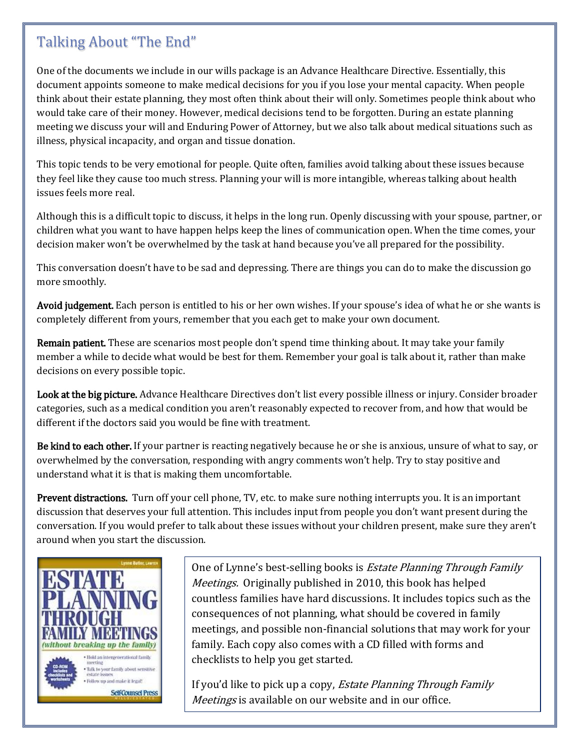## Talking About "The End"

One of the documents we include in our wills package is an Advance Healthcare Directive. Essentially, this document appoints someone to make medical decisions for you if you lose your mental capacity. When people think about their estate planning, they most often think about their will only. Sometimes people think about who would take care of their money. However, medical decisions tend to be forgotten. During an estate planning meeting we discuss your will and Enduring Power of Attorney, but we also talk about medical situations such as illness, physical incapacity, and organ and tissue donation.

This topic tends to be very emotional for people. Quite often, families avoid talking about these issues because they feel like they cause too much stress. Planning your will is more intangible, whereas talking about health issues feels more real.

Although this is a difficult topic to discuss, it helps in the long run. Openly discussing with your spouse, partner, or children what you want to have happen helps keep the lines of communication open. When the time comes, your decision maker won't be overwhelmed by the task at hand because you've all prepared for the possibility.

This conversation doesn't have to be sad and depressing. There are things you can do to make the discussion go more smoothly.

Avoid judgement. Each person is entitled to his or her own wishes. If your spouse's idea of what he or she wants is completely different from yours, remember that you each get to make your own document.

Remain patient. These are scenarios most people don't spend time thinking about. It may take your family member a while to decide what would be best for them. Remember your goal is talk about it, rather than make decisions on every possible topic.

Look at the big picture. Advance Healthcare Directives don't list every possible illness or injury. Consider broader categories, such as a medical condition you aren't reasonably expected to recover from, and how that would be different if the doctors said you would be fine with treatment.

Be kind to each other. If your partner is reacting negatively because he or she is anxious, unsure of what to say, or overwhelmed by the conversation, responding with angry comments won't help. Try to stay positive and understand what it is that is making them uncomfortable.

Prevent distractions. Turn off your cell phone, TV, etc. to make sure nothing interrupts you. It is an important discussion that deserves your full attention. This includes input from people you don't want present during the conversation. If you would prefer to talk about these issues without your children present, make sure they aren't around when you start the discussion.



One of Lynne's best-selling books is *Estate Planning Through Family* Meetings. Originally published in 2010, this book has helped countless families have hard discussions. It includes topics such as the consequences of not planning, what should be covered in family meetings, and possible non-financial solutions that may work for your family. Each copy also comes with a CD filled with forms and checklists to help you get started.

If you'd like to pick up a copy, *Estate Planning Through Family* Meetings is available on our website and in our office.